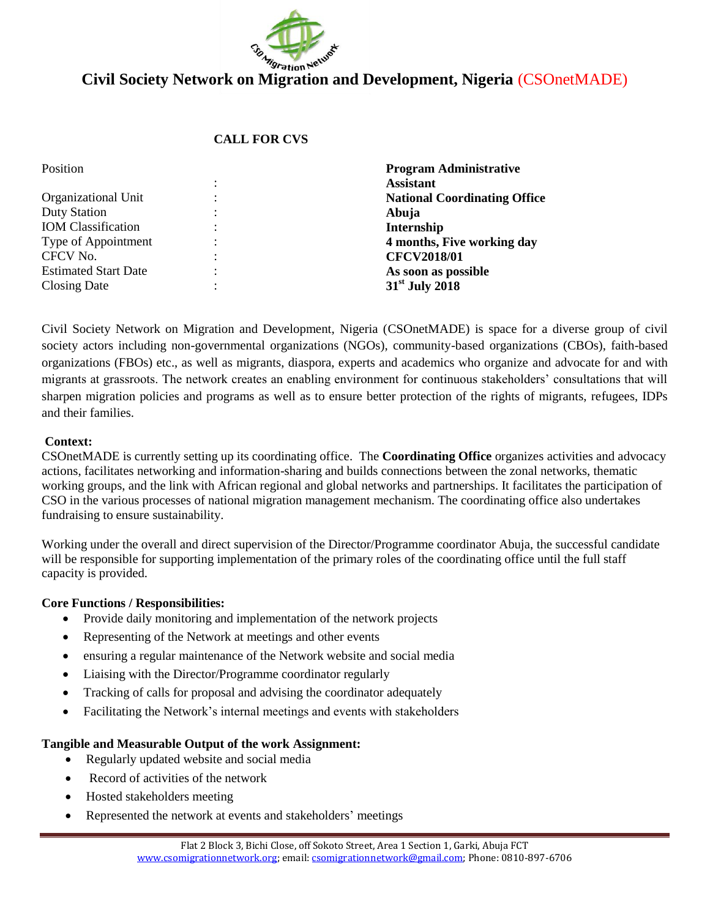

# **Civil Society Network on Migration and Development, Nigeria** (CSOnetMADE)

### **CALL FOR CVS**

| Position                    | <b>Program Administrative</b>       |
|-----------------------------|-------------------------------------|
|                             | <b>Assistant</b>                    |
| Organizational Unit         | <b>National Coordinating Office</b> |
| <b>Duty Station</b>         | Abuja                               |
| <b>IOM</b> Classification   | Internship                          |
| Type of Appointment         | 4 months, Five working day          |
| CFCV No.                    | <b>CFCV2018/01</b>                  |
| <b>Estimated Start Date</b> | As soon as possible                 |
| Closing Date                | $31st$ July 2018                    |

Civil Society Network on Migration and Development, Nigeria (CSOnetMADE) is space for a diverse group of civil society actors including non-governmental organizations (NGOs), community-based organizations (CBOs), faith-based organizations (FBOs) etc., as well as migrants, diaspora, experts and academics who organize and advocate for and with migrants at grassroots. The network creates an enabling environment for continuous stakeholders' consultations that will sharpen migration policies and programs as well as to ensure better protection of the rights of migrants, refugees, IDPs and their families.

#### **Context:**

CSOnetMADE is currently setting up its coordinating office. The **Coordinating Office** organizes activities [and advocacy](http://madenetwork.btk.ro/global-action)  [actions,](http://madenetwork.btk.ro/global-action) facilitates networking and information-sharing and builds connections between the zonal networks, thematic working groups, and the link with African regional and global networks and partnerships. It facilitates the participation of CSO in the various processes of national migration management mechanism. The coordinating office also undertakes fundraising to ensure sustainability.

Working under the overall and direct supervision of the Director/Programme coordinator Abuja, the successful candidate will be responsible for supporting implementation of the primary roles of the coordinating office until the full staff capacity is provided.

#### **Core Functions / Responsibilities:**

- Provide daily monitoring and implementation of the network projects
- Representing of the Network at meetings and other events
- ensuring a regular maintenance of the Network website and social media
- Liaising with the Director/Programme coordinator regularly
- Tracking of calls for proposal and advising the coordinator adequately
- Facilitating the Network's internal meetings and events with stakeholders

#### **Tangible and Measurable Output of the work Assignment:**

- Regularly updated website and social media
- Record of activities of the network
- Hosted stakeholders meeting
- Represented the network at events and stakeholders' meetings